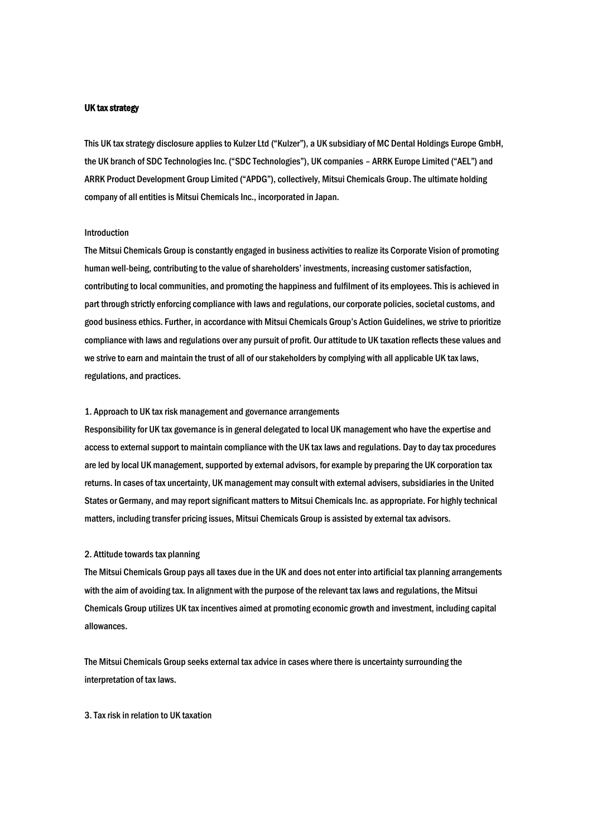### UK tax strategy

This UK tax strategy disclosure applies to Kulzer Ltd ("Kulzer"), a UK subsidiary of MC Dental Holdings Europe GmbH, the UK branch of SDC Technologies Inc. ("SDC Technologies"), UK companies – ARRK Europe Limited ("AEL") and ARRK Product Development Group Limited ("APDG"), collectively, Mitsui Chemicals Group. The ultimate holding company of all entities is Mitsui Chemicals Inc., incorporated in Japan.

# Introduction

The Mitsui Chemicals Group is constantly engaged in business activities to realize its Corporate Vision of promoting human well-being, contributing to the value of shareholders' investments, increasing customer satisfaction, contributing to local communities, and promoting the happiness and fulfilment of its employees. This is achieved in part through strictly enforcing compliance with laws and regulations, our corporate policies, societal customs, and good business ethics. Further, in accordance with Mitsui Chemicals Group's Action Guidelines, we strive to prioritize compliance with laws and regulations over any pursuit of profit. Our attitude to UK taxation reflects these values and we strive to earn and maintain the trust of all of our stakeholders by complying with all applicable UK tax laws, regulations, and practices.

### 1. Approach to UK tax risk management and governance arrangements

Responsibility for UK tax governance is in general delegated to local UK management who have the expertise and access to external support to maintain compliance with the UK tax laws and regulations. Day to day tax procedures are led by local UK management, supported by external advisors, for example by preparing the UK corporation tax returns. In cases of tax uncertainty, UK management may consult with external advisers, subsidiaries in the United States or Germany, and may report significant matters to Mitsui Chemicals Inc. as appropriate. For highly technical matters, including transfer pricing issues, Mitsui Chemicals Group is assisted by external tax advisors.

#### 2. Attitude towards tax planning

The Mitsui Chemicals Group pays all taxes due in the UK and does not enter into artificial tax planning arrangements with the aim of avoiding tax. In alignment with the purpose of the relevant tax laws and regulations, the Mitsui Chemicals Group utilizes UK tax incentives aimed at promoting economic growth and investment, including capital allowances.

The Mitsui Chemicals Group seeks external tax advice in cases where there is uncertainty surrounding the interpretation of tax laws.

3. Tax risk in relation to UK taxation